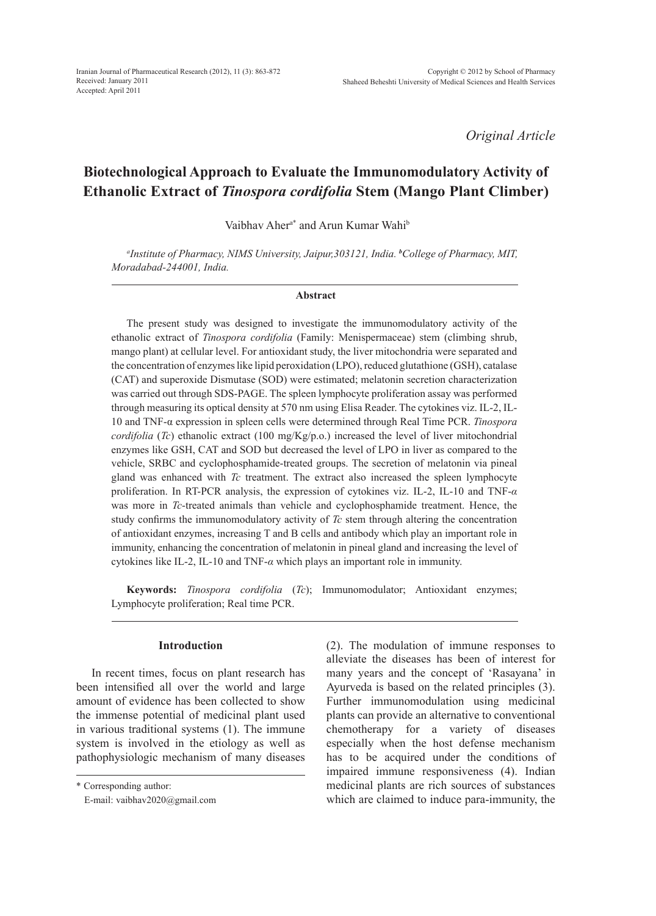*Original Article*

# **Biotechnological Approach to Evaluate the Immunomodulatory Activity of Ethanolic Extract of** *Tinospora cordifolia* **Stem (Mango Plant Climber)**

Vaibhav Aher<sup>a\*</sup> and Arun Kumar Wahi<sup>b</sup>

*a Institute of Pharmacy, NIMS University, Jaipur,303121, India. <sup>b</sup> College of Pharmacy, MIT, Moradabad-244001, India.*

#### **Abstract**

The present study was designed to investigate the immunomodulatory activity of the ethanolic extract of *Tinospora cordifolia* (Family: Menispermaceae) stem (climbing shrub, mango plant) at cellular level. For antioxidant study, the liver mitochondria were separated and the concentration of enzymes like lipid peroxidation (LPO), reduced glutathione (GSH), catalase (CAT) and superoxide Dismutase (SOD) were estimated; melatonin secretion characterization was carried out through SDS-PAGE. The spleen lymphocyte proliferation assay was performed through measuring its optical density at 570 nm using Elisa Reader. The cytokines viz. IL-2, IL-10 and TNF-α expression in spleen cells were determined through Real Time PCR. *Tinospora cordifolia* (*Tc*) ethanolic extract (100 mg/Kg/p.o.) increased the level of liver mitochondrial enzymes like GSH, CAT and SOD but decreased the level of LPO in liver as compared to the vehicle, SRBC and cyclophosphamide-treated groups. The secretion of melatonin via pineal gland was enhanced with *Tc* treatment. The extract also increased the spleen lymphocyte proliferation. In RT-PCR analysis, the expression of cytokines viz. IL-2, IL-10 and TNF-*α* was more in *Tc*-treated animals than vehicle and cyclophosphamide treatment. Hence, the study confirms the immunomodulatory activity of *Tc* stem through altering the concentration of antioxidant enzymes, increasing T and B cells and antibody which play an important role in immunity, enhancing the concentration of melatonin in pineal gland and increasing the level of cytokines like IL-2, IL-10 and TNF-*α* which plays an important role in immunity.

**Keywords:** *Tinospora cordifolia* (*Tc*); Immunomodulator; Antioxidant enzymes; Lymphocyte proliferation; Real time PCR.

# **Introduction**

In recent times, focus on plant research has been intensified all over the world and large amount of evidence has been collected to show the immense potential of medicinal plant used in various traditional systems (1). The immune system is involved in the etiology as well as pathophysiologic mechanism of many diseases (2). The modulation of immune responses to alleviate the diseases has been of interest for many years and the concept of 'Rasayana' in Ayurveda is based on the related principles (3). Further immunomodulation using medicinal plants can provide an alternative to conventional chemotherapy for a variety of diseases especially when the host defense mechanism has to be acquired under the conditions of impaired immune responsiveness (4). Indian medicinal plants are rich sources of substances which are claimed to induce para-immunity, the

<sup>\*</sup> Corresponding author:

E-mail: vaibhav2020@gmail.com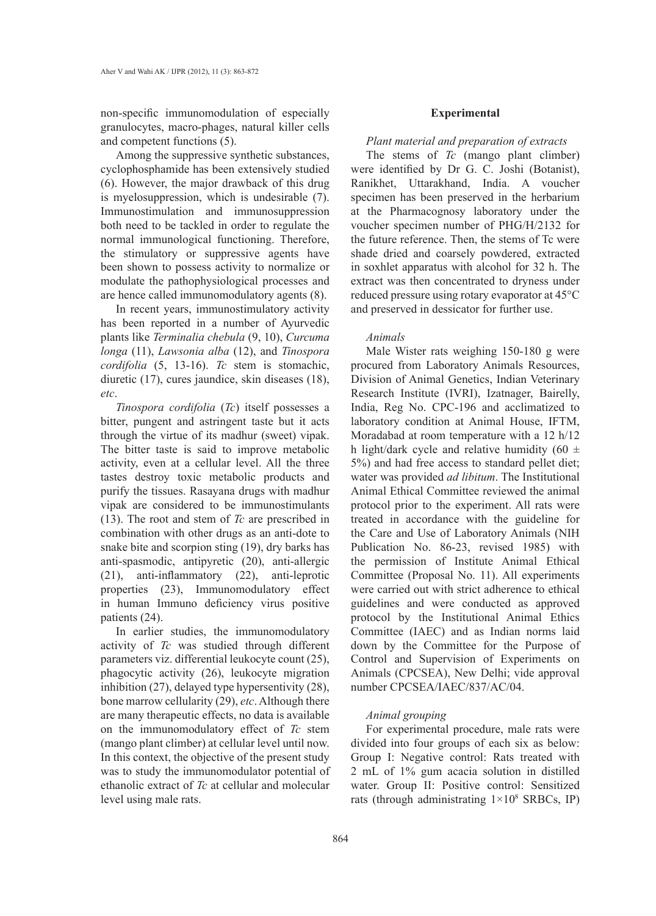non-specific immunomodulation of especially granulocytes, macro-phages, natural killer cells and competent functions (5).

Among the suppressive synthetic substances, cyclophosphamide has been extensively studied (6). However, the major drawback of this drug is myelosuppression, which is undesirable (7). Immunostimulation and immunosuppression both need to be tackled in order to regulate the normal immunological functioning. Therefore, the stimulatory or suppressive agents have been shown to possess activity to normalize or modulate the pathophysiological processes and are hence called immunomodulatory agents (8).

In recent years, immunostimulatory activity has been reported in a number of Ayurvedic plants like *Terminalia chebula* (9, 10), *Curcuma longa* (11), *Lawsonia alba* (12), and *Tinospora cordifolia* (5, 13-16). *Tc* stem is stomachic, diuretic (17), cures jaundice, skin diseases (18), *etc*.

*Tinospora cordifolia* (*Tc*) itself possesses a bitter, pungent and astringent taste but it acts through the virtue of its madhur (sweet) vipak. The bitter taste is said to improve metabolic activity, even at a cellular level. All the three tastes destroy toxic metabolic products and purify the tissues. Rasayana drugs with madhur vipak are considered to be immunostimulants (13). The root and stem of *Tc* are prescribed in combination with other drugs as an anti-dote to snake bite and scorpion sting (19), dry barks has anti-spasmodic, antipyretic (20), anti-allergic (21), anti-inflammatory (22), anti-leprotic properties (23), Immunomodulatory effect in human Immuno deficiency virus positive patients (24).

In earlier studies, the immunomodulatory activity of *Tc* was studied through different parameters viz. differential leukocyte count (25), phagocytic activity (26), leukocyte migration inhibition (27), delayed type hypersentivity (28), bone marrow cellularity (29), *etc*. Although there are many therapeutic effects, no data is available on the immunomodulatory effect of *Tc* stem (mango plant climber) at cellular level until now. In this context, the objective of the present study was to study the immunomodulator potential of ethanolic extract of *Tc* at cellular and molecular level using male rats.

#### **Experimental**

#### *Plant material and preparation of extracts*

The stems of *Tc* (mango plant climber) were identified by Dr G. C. Joshi (Botanist), Ranikhet, Uttarakhand, India. A voucher specimen has been preserved in the herbarium at the Pharmacognosy laboratory under the voucher specimen number of PHG/H/2132 for the future reference. Then, the stems of Tc were shade dried and coarsely powdered, extracted in soxhlet apparatus with alcohol for 32 h. The extract was then concentrated to dryness under reduced pressure using rotary evaporator at 45°C and preserved in dessicator for further use.

#### *Animals*

Male Wister rats weighing 150-180 g were procured from Laboratory Animals Resources, Division of Animal Genetics, Indian Veterinary Research Institute (IVRI), Izatnager, Bairelly, India, Reg No. CPC-196 and acclimatized to laboratory condition at Animal House, IFTM, Moradabad at room temperature with a 12 h/12 h light/dark cycle and relative humidity (60  $\pm$ 5%) and had free access to standard pellet diet; water was provided *ad libitum*. The Institutional Animal Ethical Committee reviewed the animal protocol prior to the experiment. All rats were treated in accordance with the guideline for the Care and Use of Laboratory Animals (NIH Publication No. 86-23, revised 1985) with the permission of Institute Animal Ethical Committee (Proposal No. 11). All experiments were carried out with strict adherence to ethical guidelines and were conducted as approved protocol by the Institutional Animal Ethics Committee (IAEC) and as Indian norms laid down by the Committee for the Purpose of Control and Supervision of Experiments on Animals (CPCSEA), New Delhi; vide approval number CPCSEA/IAEC/837/AC/04.

# *Animal grouping*

For experimental procedure, male rats were divided into four groups of each six as below: Group I: Negative control: Rats treated with 2 mL of 1% gum acacia solution in distilled water. Group II: Positive control: Sensitized rats (through administrating  $1 \times 10^8$  SRBCs, IP)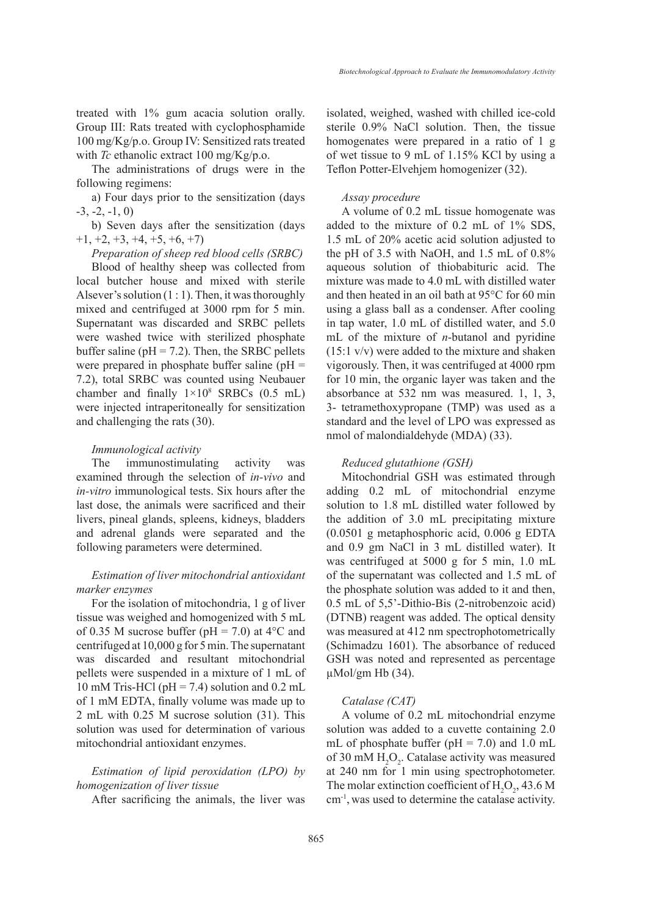treated with 1% gum acacia solution orally. Group III: Rats treated with cyclophosphamide 100 mg/Kg/p.o. Group IV: Sensitized rats treated with *Tc* ethanolic extract 100 mg/Kg/p.o.

The administrations of drugs were in the following regimens:

a) Four days prior to the sensitization (days  $-3, -2, -1, 0$ 

b) Seven days after the sensitization (days  $+1, +2, +3, +4, +5, +6, +7$ 

*Preparation of sheep red blood cells (SRBC)*

Blood of healthy sheep was collected from local butcher house and mixed with sterile Alsever's solution  $(1:1)$ . Then, it was thoroughly mixed and centrifuged at 3000 rpm for 5 min. Supernatant was discarded and SRBC pellets were washed twice with sterilized phosphate buffer saline ( $pH = 7.2$ ). Then, the SRBC pellets were prepared in phosphate buffer saline ( $pH =$ 7.2), total SRBC was counted using Neubauer chamber and finally  $1 \times 10^8$  SRBCs (0.5 mL) were injected intraperitoneally for sensitization and challenging the rats (30).

### *Immunological activity*

The immunostimulating activity was examined through the selection of *in-vivo* and *in-vitro* immunological tests. Six hours after the last dose, the animals were sacrificed and their livers, pineal glands, spleens, kidneys, bladders and adrenal glands were separated and the following parameters were determined.

# *Estimation of liver mitochondrial antioxidant marker enzymes*

For the isolation of mitochondria, 1 g of liver tissue was weighed and homogenized with 5 mL of 0.35 M sucrose buffer (pH = 7.0) at  $4^{\circ}$ C and centrifuged at 10,000 g for 5 min. The supernatant was discarded and resultant mitochondrial pellets were suspended in a mixture of 1 mL of 10 mM Tris-HCl (pH = 7.4) solution and 0.2 mL of 1 mM EDTA, finally volume was made up to 2 mL with 0.25 M sucrose solution (31). This solution was used for determination of various mitochondrial antioxidant enzymes.

# *Estimation of lipid peroxidation (LPO) by homogenization of liver tissue*

After sacrificing the animals, the liver was

isolated, weighed, washed with chilled ice-cold sterile 0.9% NaCl solution. Then, the tissue homogenates were prepared in a ratio of 1 g of wet tissue to 9 mL of 1.15% KCl by using a Teflon Potter-Elvehjem homogenizer (32).

#### *Assay procedure*

A volume of 0.2 mL tissue homogenate was added to the mixture of 0.2 mL of 1% SDS, 1.5 mL of 20% acetic acid solution adjusted to the pH of 3.5 with NaOH, and 1.5 mL of 0.8% aqueous solution of thiobabituric acid. The mixture was made to 4.0 mL with distilled water and then heated in an oil bath at 95°C for 60 min using a glass ball as a condenser. After cooling in tap water, 1.0 mL of distilled water, and 5.0 mL of the mixture of *n*-butanol and pyridine (15:1 v/v) were added to the mixture and shaken vigorously. Then, it was centrifuged at 4000 rpm for 10 min, the organic layer was taken and the absorbance at 532 nm was measured. 1, 1, 3, 3- tetramethoxypropane (TMP) was used as a standard and the level of LPO was expressed as nmol of malondialdehyde (MDA) (33).

#### *Reduced glutathione (GSH)*

Mitochondrial GSH was estimated through adding 0.2 mL of mitochondrial enzyme solution to 1.8 mL distilled water followed by the addition of 3.0 mL precipitating mixture (0.0501 g metaphosphoric acid, 0.006 g EDTA and 0.9 gm NaCl in 3 mL distilled water). It was centrifuged at 5000 g for 5 min, 1.0 mL of the supernatant was collected and 1.5 mL of the phosphate solution was added to it and then, 0.5 mL of 5,5'-Dithio-Bis (2-nitrobenzoic acid) (DTNB) reagent was added. The optical density was measured at 412 nm spectrophotometrically (Schimadzu 1601). The absorbance of reduced GSH was noted and represented as percentage  $\mu$ Mol/gm Hb (34).

## *Catalase (CAT)*

A volume of 0.2 mL mitochondrial enzyme solution was added to a cuvette containing 2.0 mL of phosphate buffer ( $pH = 7.0$ ) and 1.0 mL of 30 mM  $H_2O_2$ . Catalase activity was measured at 240 nm for 1 min using spectrophotometer. The molar extinction coefficient of  $H_2O_2$ , 43.6 M cm-1, was used to determine the catalase activity.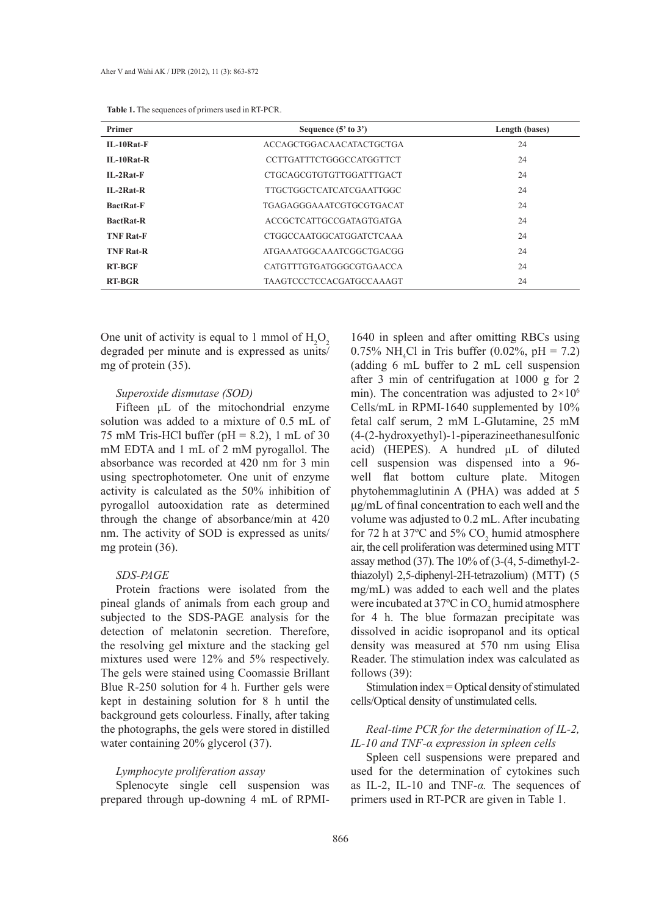| Primer           | Sequence $(5'$ to $3')$         | Length (bases) |  |
|------------------|---------------------------------|----------------|--|
| $II - 10Rat-F$   | ACCAGCTGGACAACATACTGCTGA        | 24             |  |
| $II - 10Rat-R$   | <b>CCTTGATTTCTGGGCCATGGTTCT</b> | 24             |  |
| $II - 2Rat - F$  | CTGCAGCGTGTGTTGGATTTGACT        | 24             |  |
| $IL-2Rat-R$      | TTGCTGGCTCATCATCGAATTGGC        | 24             |  |
| <b>BactRat-F</b> | TGAGAGGGAAATCGTGCGTGACAT        | 24             |  |
| <b>BactRat-R</b> | ACCGCTCATTGCCGATAGTGATGA        | 24             |  |
| <b>TNF Rat-F</b> | CTGGCCAATGGCATGGATCTCAAA        | 24             |  |
| <b>TNF Rat-R</b> | ATGAAATGGCAAATCGGCTGACGG        | 24             |  |
| <b>RT-BGF</b>    | CATGTTTGTGATGGGCGTGAACCA        | 24             |  |
| <b>RT-BGR</b>    | <b>TAAGTCCCTCCACGATGCCAAAGT</b> | 24             |  |

One unit of activity is equal to 1 mmol of  $H_2O_2$ degraded per minute and is expressed as units/ mg of protein (35).

#### *Superoxide dismutase (SOD)*

Fifteen μL of the mitochondrial enzyme solution was added to a mixture of 0.5 mL of 75 mM Tris-HCl buffer ( $pH = 8.2$ ), 1 mL of 30 mM EDTA and 1 mL of 2 mM pyrogallol. The absorbance was recorded at 420 nm for 3 min using spectrophotometer. One unit of enzyme activity is calculated as the 50% inhibition of pyrogallol autooxidation rate as determined through the change of absorbance/min at 420 nm. The activity of SOD is expressed as units/ mg protein (36).

## *SDS-PAGE*

Protein fractions were isolated from the pineal glands of animals from each group and subjected to the SDS-PAGE analysis for the detection of melatonin secretion. Therefore, the resolving gel mixture and the stacking gel mixtures used were 12% and 5% respectively. The gels were stained using Coomassie Brillant Blue R-250 solution for 4 h. Further gels were kept in destaining solution for 8 h until the background gets colourless. Finally, after taking the photographs, the gels were stored in distilled water containing 20% glycerol (37).

#### *Lymphocyte proliferation assay*

Splenocyte single cell suspension was prepared through up-downing 4 mL of RPMI-

1640 in spleen and after omitting RBCs using 0.75% NH<sub>4</sub>Cl in Tris buffer (0.02%, pH = 7.2) (adding 6 mL buffer to 2 mL cell suspension after 3 min of centrifugation at 1000 g for 2 min). The concentration was adjusted to  $2 \times 10^6$ Cells/mL in RPMI-1640 supplemented by 10% fetal calf serum, 2 mM L-Glutamine, 25 mM (4-(2-hydroxyethyl)-1-piperazineethanesulfonic acid) (HEPES). A hundred µL of diluted cell suspension was dispensed into a 96 well flat bottom culture plate. Mitogen phytohemmaglutinin A (PHA) was added at 5 μg/mL of final concentration to each well and the volume was adjusted to 0.2 mL. After incubating for 72 h at 37°C and 5%  $CO_2$  humid atmosphere air, the cell proliferation was determined using MTT assay method (37). The 10% of (3-(4, 5-dimethyl-2 thiazolyl) 2,5-diphenyl-2H-tetrazolium) (MTT) (5 mg/mL) was added to each well and the plates were incubated at  $37^{\circ}$ C in CO<sub>2</sub> humid atmosphere for 4 h. The blue formazan precipitate was dissolved in acidic isopropanol and its optical density was measured at 570 nm using Elisa Reader. The stimulation index was calculated as follows (39):

Stimulation index = Optical density of stimulated cells/Optical density of unstimulated cells.

# *Real-time PCR for the determination of IL-2, IL-10 and TNF-α expression in spleen cells*

Spleen cell suspensions were prepared and used for the determination of cytokines such as IL-2, IL-10 and TNF-*α.* The sequences of primers used in RT-PCR are given in Table 1.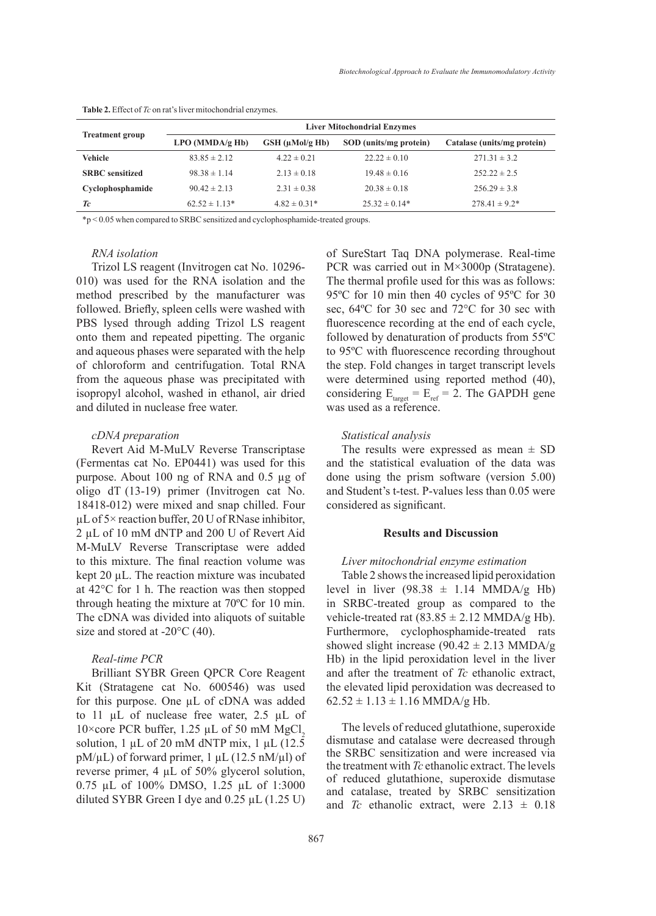| <b>Treatment group</b> | <b>Liver Mitochondrial Enzymes</b> |                         |                        |                             |
|------------------------|------------------------------------|-------------------------|------------------------|-----------------------------|
|                        | LPO(MMDA/gHb)                      | $GSH$ ( $\mu$ Mol/g Hb) | SOD (units/mg protein) | Catalase (units/mg protein) |
| <b>Vehicle</b>         | $83.85 \pm 2.12$                   | $4.22 \pm 0.21$         | $22.22 \pm 0.10$       | $271.31 \pm 3.2$            |
| <b>SRBC</b> sensitized | $98.38 \pm 1.14$                   | $2.13 \pm 0.18$         | $19.48 \pm 0.16$       | $252.22 \pm 2.5$            |
| Cyclophosphamide       | $90.42 \pm 2.13$                   | $2.31 \pm 0.38$         | $20.38 \pm 0.18$       | $256.29 \pm 3.8$            |
| Tc                     | $62.52 \pm 1.13*$                  | $4.82 \pm 0.31*$        | $25.32 \pm 0.14*$      | $278.41 \pm 9.2^*$          |

**Table 2.** Effect of *Tc* on rat's liver mitochondrial enzymes.

\*p < 0.05 when compared to SRBC sensitized and cyclophosphamide-treated groups.

#### *RNA isolation*

Trizol LS reagent (Invitrogen cat No. 10296- 010) was used for the RNA isolation and the method prescribed by the manufacturer was followed. Briefly, spleen cells were washed with PBS lysed through adding Trizol LS reagent onto them and repeated pipetting. The organic and aqueous phases were separated with the help of chloroform and centrifugation. Total RNA from the aqueous phase was precipitated with isopropyl alcohol, washed in ethanol, air dried and diluted in nuclease free water.

#### *cDNA preparation*

Revert Aid M-MuLV Reverse Transcriptase (Fermentas cat No. EP0441) was used for this purpose. About 100 ng of RNA and 0.5 µg of oligo dT (13-19) primer (Invitrogen cat No. 18418-012) were mixed and snap chilled. Four µL of 5× reaction buffer, 20 U of RNase inhibitor, 2 µL of 10 mM dNTP and 200 U of Revert Aid M-MuLV Reverse Transcriptase were added to this mixture. The final reaction volume was kept 20 µL. The reaction mixture was incubated at 42°C for 1 h. The reaction was then stopped through heating the mixture at 70ºC for 10 min. The cDNA was divided into aliquots of suitable size and stored at -20 $\degree$ C (40).

## *Real-time PCR*

Brilliant SYBR Green QPCR Core Reagent Kit (Stratagene cat No. 600546) was used for this purpose. One µL of cDNA was added to 11 µL of nuclease free water, 2.5 µL of 10 $\times$ core PCR buffer, 1.25 µL of 50 mM MgCl, solution,  $1 \mu L$  of 20 mM dNTP mix,  $1 \mu L$  (12.5)  $pM/\mu L$ ) of forward primer, 1  $\mu L$  (12.5 nM/ $\mu$ l) of reverse primer, 4 µL of 50% glycerol solution, 0.75 µL of 100% DMSO, 1.25 µL of 1:3000 diluted SYBR Green I dye and  $0.25 \mu L$  (1.25 U) of SureStart Taq DNA polymerase. Real-time PCR was carried out in M×3000p (Stratagene). The thermal profile used for this was as follows: 95ºC for 10 min then 40 cycles of 95ºC for 30 sec, 64ºC for 30 sec and 72°C for 30 sec with fluorescence recording at the end of each cycle, followed by denaturation of products from 55ºC to 95ºC with fluorescence recording throughout the step. Fold changes in target transcript levels were determined using reported method (40), considering  $E_{\text{target}} = E_{\text{ref}} = 2$ . The GAPDH gene was used as a reference.

#### *Statistical analysis*

The results were expressed as mean  $\pm$  SD and the statistical evaluation of the data was done using the prism software (version 5.00) and Student's t-test. P-values less than 0.05 were considered as significant.

#### **Results and Discussion**

## *Liver mitochondrial enzyme estimation*

Table 2 shows the increased lipid peroxidation level in liver  $(98.38 \pm 1.14 \text{ MMDA/g Hb})$ in SRBC-treated group as compared to the vehicle-treated rat  $(83.85 \pm 2.12 \text{ MMDA/g Hb}).$ Furthermore, cyclophosphamide-treated rats showed slight increase (90.42  $\pm$  2.13 MMDA/g Hb) in the lipid peroxidation level in the liver and after the treatment of *Tc* ethanolic extract, the elevated lipid peroxidation was decreased to  $62.52 \pm 1.13 \pm 1.16$  MMDA/g Hb.

The levels of reduced glutathione, superoxide dismutase and catalase were decreased through the SRBC sensitization and were increased via the treatment with *Tc* ethanolic extract. The levels of reduced glutathione, superoxide dismutase and catalase, treated by SRBC sensitization and *Tc* ethanolic extract, were  $2.13 \pm 0.18$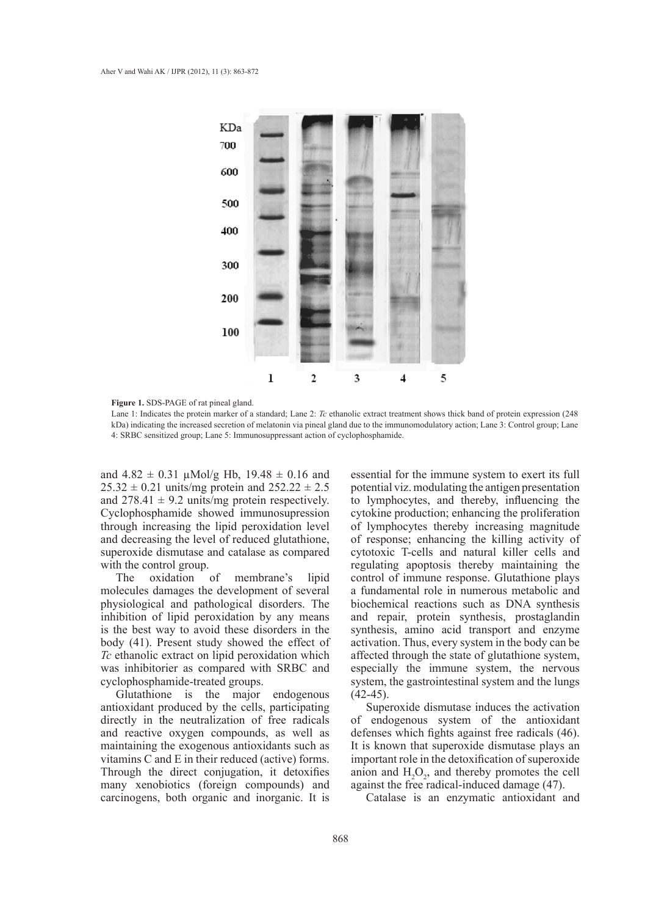

**Figure 1.** SDS-PAGE of rat pineal gland.

Lane 1: Indicates the protein marker of a standard; Lane 2: *Tc* ethanolic extract treatment shows thick band of protein expression (248 kDa) indicating the increased secretion of melatonin via pineal gland due to the immunomodulatory action; Lane 3: Control group; Lane 4: SRBC sensitized group; Lane 5: Immunosuppressant action of cyclophosphamide.

and  $4.82 \pm 0.31$  µMol/g Hb,  $19.48 \pm 0.16$  and  $25.32 \pm 0.21$  units/mg protein and  $252.22 \pm 2.5$ and  $278.41 \pm 9.2$  units/mg protein respectively. Cyclophosphamide showed immunosupression through increasing the lipid peroxidation level and decreasing the level of reduced glutathione, superoxide dismutase and catalase as compared with the control group.<br>The oxidation

The oxidation of membrane's lipid molecules damages the development of several physiological and pathological disorders. The inhibition of lipid peroxidation by any means is the best way to avoid these disorders in the body (41). Present study showed the effect of *Tc* ethanolic extract on lipid peroxidation which was inhibitorier as compared with SRBC and cyclophosphamide-treated groups.

Glutathione is the major endogenous antioxidant produced by the cells, participating directly in the neutralization of free radicals and reactive oxygen compounds, as well as maintaining the exogenous antioxidants such as vitamins C and E in their reduced (active) forms. Through the direct conjugation, it detoxifies many xenobiotics (foreign compounds) and carcinogens, both organic and inorganic. It is

essential for the immune system to exert its full potential viz. modulating the antigen presentation to lymphocytes, and thereby, influencing the cytokine production; enhancing the proliferation of lymphocytes thereby increasing magnitude of response; enhancing the killing activity of cytotoxic T-cells and natural killer cells and regulating apoptosis thereby maintaining the control of immune response. Glutathione plays a fundamental role in numerous metabolic and biochemical reactions such as DNA synthesis and repair, protein synthesis, prostaglandin synthesis, amino acid transport and enzyme activation. Thus, every system in the body can be affected through the state of glutathione system, especially the immune system, the nervous system, the gastrointestinal system and the lungs  $(42-45)$ .

Superoxide dismutase induces the activation of endogenous system of the antioxidant defenses which fights against free radicals (46). It is known that superoxide dismutase plays an important role in the detoxification of superoxide anion and  $H_2O_2$ , and thereby promotes the cell against the free radical-induced damage (47).

Catalase is an enzymatic antioxidant and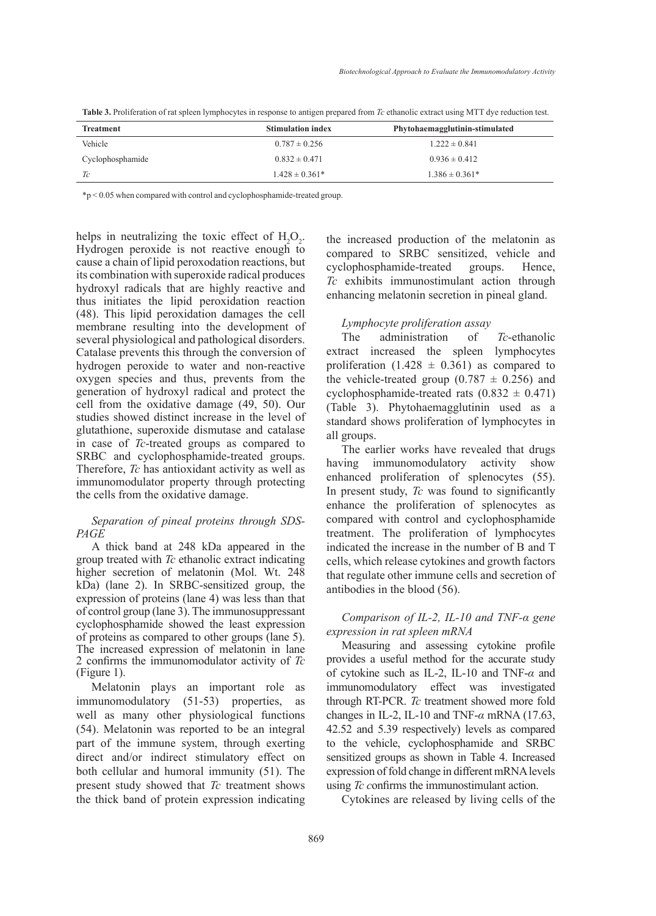| <b>Treatment</b> | <b>Stimulation index</b> | Phytohaemagglutinin-stimulated |
|------------------|--------------------------|--------------------------------|
| Vehicle          | $0.787 \pm 0.256$        | $1.222 \pm 0.841$              |
| Cyclophosphamide | $0.832 \pm 0.471$        | $0.936 \pm 0.412$              |
| Tc               | $1.428 \pm 0.361*$       | $1.386 \pm 0.361*$             |

**Table 3.** Proliferation of rat spleen lymphocytes in response to antigen prepared from *Tc* ethanolic extract using MTT dye reduction test.

\*p < 0.05 when compared with control and cyclophosphamide-treated group.

helps in neutralizing the toxic effect of  $H_2O_2$ . Hydrogen peroxide is not reactive enough to cause a chain of lipid peroxodation reactions, but its combination with superoxide radical produces hydroxyl radicals that are highly reactive and thus initiates the lipid peroxidation reaction (48). This lipid peroxidation damages the cell membrane resulting into the development of several physiological and pathological disorders. Catalase prevents this through the conversion of hydrogen peroxide to water and non-reactive oxygen species and thus, prevents from the generation of hydroxyl radical and protect the cell from the oxidative damage (49, 50). Our studies showed distinct increase in the level of glutathione, superoxide dismutase and catalase in case of *Tc*-treated groups as compared to SRBC and cyclophosphamide-treated groups. Therefore, *Tc* has antioxidant activity as well as immunomodulator property through protecting the cells from the oxidative damage.

## *Separation of pineal proteins through SDS-PAGE*

A thick band at 248 kDa appeared in the group treated with *Tc* ethanolic extract indicating higher secretion of melatonin (Mol. Wt. 248 kDa) (lane 2). In SRBC-sensitized group, the expression of proteins (lane 4) was less than that of control group (lane 3). The immunosuppressant cyclophosphamide showed the least expression of proteins as compared to other groups (lane 5). The increased expression of melatonin in lane 2 confirms the immunomodulator activity of *Tc* (Figure 1).

Melatonin plays an important role as immunomodulatory (51-53) properties, as well as many other physiological functions (54). Melatonin was reported to be an integral part of the immune system, through exerting direct and/or indirect stimulatory effect on both cellular and humoral immunity (51). The present study showed that *Tc* treatment shows the thick band of protein expression indicating the increased production of the melatonin as compared to SRBC sensitized, vehicle and cyclophosphamide-treated groups. Hence, *Tc* exhibits immunostimulant action through enhancing melatonin secretion in pineal gland.

#### *Lymphocyte proliferation assay*

The administration of *Tc*-ethanolic extract increased the spleen lymphocytes proliferation (1.428  $\pm$  0.361) as compared to the vehicle-treated group  $(0.787 \pm 0.256)$  and cyclophosphamide-treated rats  $(0.832 \pm 0.471)$ (Table 3). Phytohaemagglutinin used as a standard shows proliferation of lymphocytes in all groups.

The earlier works have revealed that drugs having immunomodulatory activity show enhanced proliferation of splenocytes (55). In present study, *Tc* was found to significantly enhance the proliferation of splenocytes as compared with control and cyclophosphamide treatment. The proliferation of lymphocytes indicated the increase in the number of B and T cells, which release cytokines and growth factors that regulate other immune cells and secretion of antibodies in the blood (56).

# *Comparison of IL-2, IL-10 and TNF-α gene expression in rat spleen mRNA*

Measuring and assessing cytokine profile provides a useful method for the accurate study of cytokine such as IL-2, IL-10 and TNF-*α* and immunomodulatory effect was investigated through RT-PCR. *Tc* treatment showed more fold changes in IL-2, IL-10 and TNF-*α* mRNA (17.63, 42.52 and 5.39 respectively) levels as compared to the vehicle, cyclophosphamide and SRBC sensitized groups as shown in Table 4. Increased expression of fold change in different mRNA levels using *Tc c*onfirms the immunostimulant action.

Cytokines are released by living cells of the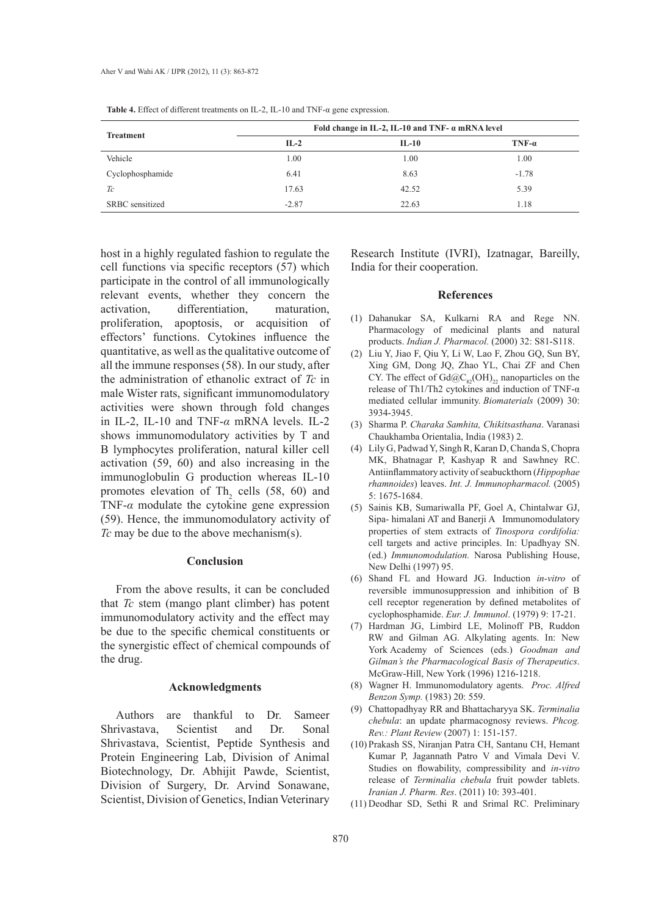|                  | Fold change in IL-2, IL-10 and TNF- $\alpha$ mRNA level |         |         |
|------------------|---------------------------------------------------------|---------|---------|
| <b>Treatment</b> | $IL-2$                                                  | $IL-10$ | $TNF-a$ |
| Vehicle          | 1.00                                                    | 1.00    | 1.00    |
| Cyclophosphamide | 6.41                                                    | 8.63    | $-1.78$ |
| Tc               | 17.63                                                   | 42.52   | 5.39    |
| SRBC sensitized  | $-2.87$                                                 | 22.63   | 1.18    |

**Table 4.** Effect of different treatments on IL-2, IL-10 and TNF-α gene expression.

host in a highly regulated fashion to regulate the cell functions via specific receptors (57) which participate in the control of all immunologically relevant events, whether they concern the activation, differentiation, maturation, proliferation, apoptosis, or acquisition of effectors' functions. Cytokines influence the quantitative, as well as the qualitative outcome of all the immune responses (58). In our study, after the administration of ethanolic extract of *Tc* in male Wister rats, significant immunomodulatory activities were shown through fold changes in IL-2, IL-10 and TNF-*α* mRNA levels. IL-2 shows immunomodulatory activities by T and B lymphocytes proliferation, natural killer cell activation (59, 60) and also increasing in the immunoglobulin G production whereas IL-10 promotes elevation of  $\text{Th}_2$  cells (58, 60) and TNF-*α* modulate the cytokine gene expression (59). Hence, the immunomodulatory activity of *Tc* may be due to the above mechanism(s).

### **Conclusion**

From the above results, it can be concluded that *Tc* stem (mango plant climber) has potent immunomodulatory activity and the effect may be due to the specific chemical constituents or the synergistic effect of chemical compounds of the drug.

## **Acknowledgments**

Authors are thankful to Dr. Sameer Shrivastava, Scientist and Dr. Sonal Shrivastava, Scientist, Peptide Synthesis and Protein Engineering Lab, Division of Animal Biotechnology, Dr. Abhijit Pawde, Scientist, Division of Surgery, Dr. Arvind Sonawane, Scientist, Division of Genetics, Indian Veterinary

Research Institute (IVRI), Izatnagar, Bareilly, India for their cooperation.

#### **References**

- Dahanukar SA, Kulkarni RA and Rege NN. (1) Pharmacology of medicinal plants and natural products. *Indian J. Pharmacol.* (2000) 32: S81-S118.
- Liu Y, Jiao F, Qiu Y, Li W, Lao F, Zhou GQ, Sun BY, (2) Xing GM, Dong JQ, Zhao YL, Chai ZF and Chen CY. The effect of  $Gd@C<sub>82</sub>(OH)<sub>22</sub>$  nanoparticles on the release of Th1/Th2 cytokines and induction of TNF-α mediated cellular immunity. *Biomaterials* (2009) 30: 3934-3945.
- Sharma P. *Charaka Samhita, Chikitsasthana*. Varanasi (3) Chaukhamba Orientalia, India (1983) 2.
- Lily G, Padwad Y, Singh R, Karan D, Chanda S, Chopra (4) MK, Bhatnagar P, Kashyap R and Sawhney RC. Antiinflammatory activity of seabuckthorn (*Hippophae rhamnoides*) leaves. *Int. J. Immunopharmacol.* (2005) 5: 1675-1684.
- (5) Sainis KB, Sumariwalla PF, Goel A, Chintalwar GJ, Sipa- himalani AT and Banerji A Immunomodulatory properties of stem extracts of *Tinospora cordifolia:* cell targets and active principles. In: Upadhyay SN. (ed.) *Immunomodulation.* Narosa Publishing House, New Delhi (1997) 95.
- Shand FL and Howard JG. Induction *in-vitro* of (6) reversible immunosuppression and inhibition of B cell receptor regeneration by defined metabolites of cyclophosphamide. *Eur. J. Immunol*. (1979) 9: 17-21.
- (7) Hardman JG, Limbird LE, Molinoff PB, Ruddon RW and Gilman AG. Alkylating agents. In: New York Academy of Sciences (eds.) *Goodman and Gilman's the Pharmacological Basis of Therapeutics*. McGraw-Hill, New York (1996) 1216-1218.
- Wagner H. Immunomodulatory agents. *Proc. Alfred*  (8) *Benzon Symp.* (1983) 20: 559.
- Chattopadhyay RR and Bhattacharyya SK. *Terminalia*  (9) *chebula*: an update pharmacognosy reviews. *Phcog. Rev.: Plant Review* (2007) 1: 151-157.
- (10) Prakash SS, Niranjan Patra CH, Santanu CH, Hemant Kumar P, Jagannath Patro V and Vimala Devi V. Studies on flowability, compressibility and *in-vitro* release of *Terminalia chebula* fruit powder tablets. *Iranian J. Pharm. Res*. (2011) 10: 393-401.
- (11) Deodhar SD, Sethi R and Srimal RC. Preliminary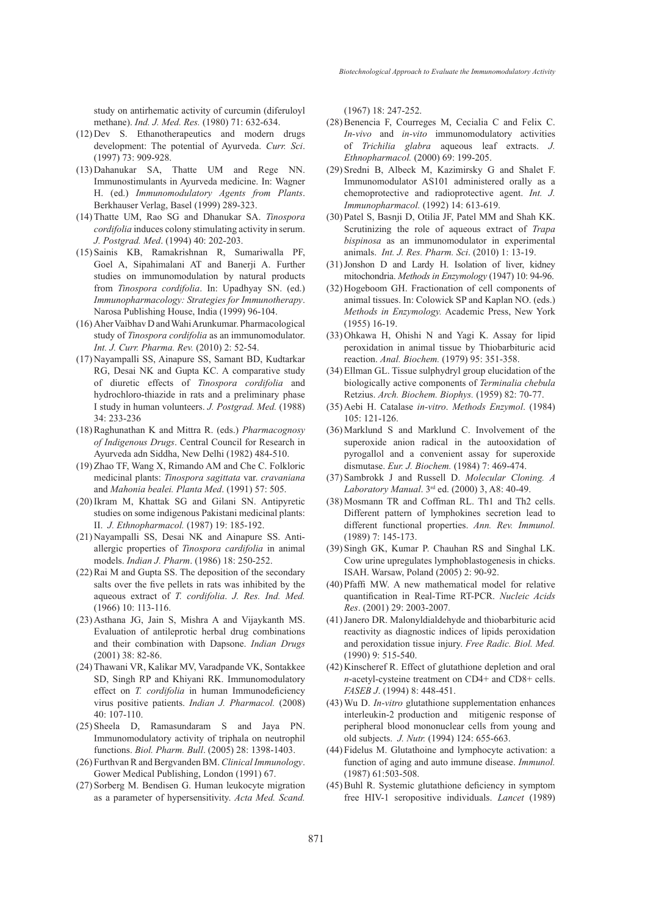study on antirhematic activity of curcumin (diferuloyl methane). *Ind. J. Med. Res.* (1980) 71: 632-634.

- $(12)$  Dev S. Ethanotherapeutics and modern drugs development: The potential of Ayurveda. *Curr. Sci*. (1997) 73: 909-928.
- Dahanukar SA, Thatte UM and Rege NN. (13) Immunostimulants in Ayurveda medicine. In: Wagner H. (ed.) *Immunomodulatory Agents from Plants*. Berkhauser Verlag, Basel (1999) 289-323.
- Thatte UM, Rao SG and Dhanukar SA. *Tinospora*  (14) *cordifolia* induces colony stimulating activity in serum. *J. Postgrad. Med*. (1994) 40: 202-203.
- (15) Sainis KB, Ramakrishnan R, Sumariwalla PF, Goel A, Sipahimalani AT and Banerji A. Further studies on immunomodulation by natural products from *Tinospora cordifolia*. In: Upadhyay SN. (ed.) *Immunopharmacology: Strategies for Immunotherapy*. Narosa Publishing House, India (1999) 96-104.
- (16) Aher Vaibhav D and Wahi Arunkumar. Pharmacological study of *Tinospora cordifolia* as an immunomodulator. *Int. J. Curr. Pharma. Rev.* (2010) 2: 52-54.
- (17) Nayampalli SS, Ainapure SS, Samant BD, Kudtarkar RG, Desai NK and Gupta KC. A comparative study of diuretic effects of *Tinospora cordifolia* and hydrochloro-thiazide in rats and a preliminary phase I study in human volunteers. *J. Postgrad. Med.* (1988) 34: 233-236
- (18) Raghunathan K and Mittra R. (eds.) *Pharmacognosy of Indigenous Drugs*. Central Council for Research in Ayurveda adn Siddha, New Delhi (1982) 484-510.
- $(19)$  Zhao TF, Wang X, Rimando AM and Che C. Folkloric medicinal plants: *Tinospora sagittata* var. *cravaniana*  and *Mahonia bealei. Planta Med*. (1991) 57: 505.
- (20) Ikram M, Khattak SG and Gilani SN. Antipyretic studies on some indigenous Pakistani medicinal plants: II. *J. Ethnopharmacol.* (1987) 19: 185-192.
- (21) Nayampalli SS, Desai NK and Ainapure SS. Antiallergic properties of *Tinospora cardifolia* in animal models. *Indian J. Pharm*. (1986) 18: 250-252.
- $(22)$  Rai M and Gupta SS. The deposition of the secondary salts over the five pellets in rats was inhibited by the aqueous extract of *T. cordifolia*. *J. Res. Ind. Med.*  (1966) 10: 113-116.
- (23) Asthana JG, Jain S, Mishra A and Vijaykanth MS. Evaluation of antileprotic herbal drug combinations and their combination with Dapsone. *Indian Drugs* (2001) 38: 82-86.
- (24) Thawani VR, Kalikar MV, Varadpande VK, Sontakkee SD, Singh RP and Khiyani RK. Immunomodulatory effect on *T. cordifolia* in human Immunodeficiency virus positive patients. *Indian J. Pharmacol.* (2008) 40: 107-110.
- $(25)$  Sheela D, Ramasundaram S and Jaya PN. Immunomodulatory activity of triphala on neutrophil functions. *Biol. Pharm. Bull*. (2005) 28: 1398-1403.
- Furthvan R and Bergvanden BM. *Clinical Immunology*. (26) Gower Medical Publishing, London (1991) 67.
- (27) Sorberg M. Bendisen G. Human leukocyte migration as a parameter of hypersensitivity. *Acta Med. Scand.*

(1967) 18: 247-252.

- $(28)$  Benencia F, Courreges M, Cecialia C and Felix C. *In-vivo* and *in-vito* immunomodulatory activities of *Trichilia glabra* aqueous leaf extracts. *J. Ethnopharmacol.* (2000) 69: 199-205.
- (29) Sredni B, Albeck M, Kazimirsky G and Shalet F. Immunomodulator AS101 administered orally as a chemoprotective and radioprotective agent. *Int. J. Immunopharmacol.* (1992) 14: 613-619.
- (30) Patel S, Basnji D, Otilia JF, Patel MM and Shah KK. Scrutinizing the role of aqueous extract of *Trapa bispinosa* as an immunomodulator in experimental animals. *Int. J. Res. Pharm. Sci*. (2010) 1: 13-19.
- $(31)$  Jonshon D and Lardy H. Isolation of liver, kidney mitochondria. *Methods in Enzymology* (1947) 10: 94-96.
- (32) Hogeboom GH. Fractionation of cell components of animal tissues. In: Colowick SP and Kaplan NO. (eds.) *Methods in Enzymology.* Academic Press, New York (1955) 16-19.
- (33) Ohkawa H, Ohishi N and Yagi K. Assay for lipid peroxidation in animal tissue by Thiobarbituric acid reaction. *Anal. Biochem.* (1979) 95: 351-358.
- Ellman GL. Tissue sulphydryl group elucidation of the (34) biologically active components of *Terminalia chebula* Retzius. *Arch. Biochem. Biophys.* (1959) 82: 70-77.
- Aebi H. Catalase *in-vitro*. *Methods Enzymol*. (1984) (35) 105: 121-126.
- $(36)$  Marklund S and Marklund C. Involvement of the superoxide anion radical in the autooxidation of pyrogallol and a convenient assay for superoxide dismutase. *Eur. J. Biochem.* (1984) 7: 469-474.
- Sambrokk J and Russell D. *Molecular Cloning. A*  (37) *Laboratory Manual*. 3rd ed. (2000) 3, A8: 40-49.
- (38) Mosmann TR and Coffman RL. Th1 and Th2 cells. Different pattern of lymphokines secretion lead to different functional properties. *Ann. Rev. Immunol.*  (1989) 7: 145-173.
- (39) Singh GK, Kumar P. Chauhan RS and Singhal LK. Cow urine upregulates lymphoblastogenesis in chicks. ISAH. Warsaw, Poland (2005) 2: 90-92.
- (40) Pfaffi MW. A new mathematical model for relative quantification in Real-Time RT-PCR. *Nucleic Acids Res*. (2001) 29: 2003-2007.
- (41) Janero DR. Malonyldialdehyde and thiobarbituric acid reactivity as diagnostic indices of lipids peroxidation and peroxidation tissue injury. *Free Radic. Biol. Med.* (1990) 9: 515-540.
- $(42)$  Kinscheref R. Effect of glutathione depletion and oral *n*-acetyl-cysteine treatment on CD4+ and CD8+ cells. *FASEB J*. (1994) 8: 448-451.
- Wu D. *In-vitro* glutathione supplementation enhances (43) interleukin-2 production and mitigenic response of peripheral blood mononuclear cells from young and old subjects. *J. Nutr.* (1994) 124: 655-663.
- Fidelus M. Glutathoine and lymphocyte activation: a (44) function of aging and auto immune disease. *Immunol.* (1987) 61:503-508.
- (45) Buhl R. Systemic glutathione deficiency in symptom free HIV-1 seropositive individuals. *Lancet* (1989)